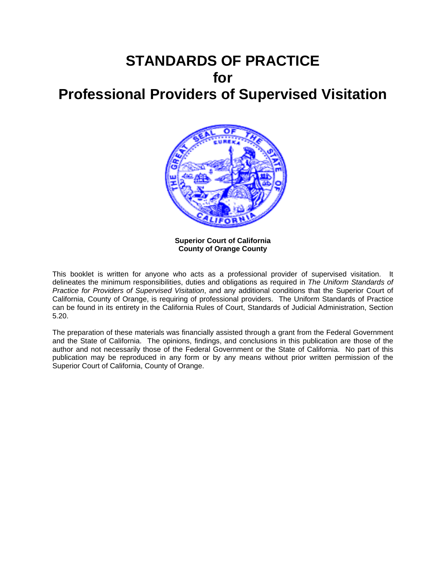# **STANDARDS OF PRACTICE for Professional Providers of Supervised Visitation**



**Superior Court of California County of Orange County** 

This booklet is written for anyone who acts as a professional provider of supervised visitation. It delineates the minimum responsibilities, duties and obligations as required in *The Uniform Standards of Practice for Providers of Supervised Visitation*, and any additional conditions that the Superior Court of California, County of Orange, is requiring of professional providers. The Uniform Standards of Practice can be found in its entirety in the California Rules of Court, Standards of Judicial Administration, Section 5.20.

The preparation of these materials was financially assisted through a grant from the Federal Government and the State of California. The opinions, findings, and conclusions in this publication are those of the author and not necessarily those of the Federal Government or the State of California. No part of this publication may be reproduced in any form or by any means without prior written permission of the Superior Court of California, County of Orange.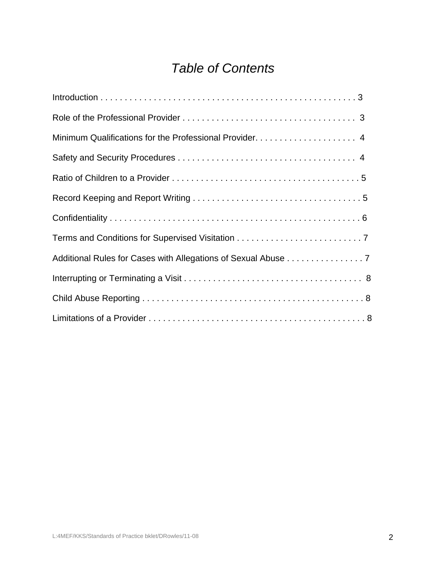# *Table of Contents*

| Additional Rules for Cases with Allegations of Sexual Abuse 7 |
|---------------------------------------------------------------|
|                                                               |
|                                                               |
|                                                               |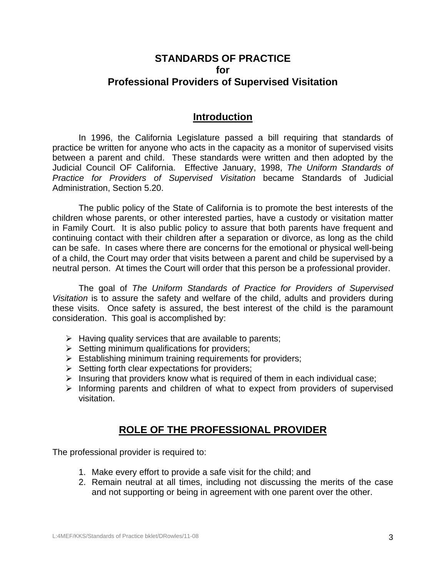### **STANDARDS OF PRACTICE for Professional Providers of Supervised Visitation**

### **Introduction**

 In 1996, the California Legislature passed a bill requiring that standards of practice be written for anyone who acts in the capacity as a monitor of supervised visits between a parent and child. These standards were written and then adopted by the Judicial Council OF California. Effective January, 1998, *The Uniform Standards of Practice for Providers of Supervised Visitation* became Standards of Judicial Administration, Section 5.20.

 The public policy of the State of California is to promote the best interests of the children whose parents, or other interested parties, have a custody or visitation matter in Family Court. It is also public policy to assure that both parents have frequent and continuing contact with their children after a separation or divorce, as long as the child can be safe. In cases where there are concerns for the emotional or physical well-being of a child, the Court may order that visits between a parent and child be supervised by a neutral person. At times the Court will order that this person be a professional provider.

 The goal of *The Uniform Standards of Practice for Providers of Supervised Visitation* is to assure the safety and welfare of the child, adults and providers during these visits. Once safety is assured, the best interest of the child is the paramount consideration. This goal is accomplished by:

- $\triangleright$  Having quality services that are available to parents;
- $\triangleright$  Setting minimum qualifications for providers;
- $\triangleright$  Establishing minimum training requirements for providers;
- $\triangleright$  Setting forth clear expectations for providers;
- $\triangleright$  Insuring that providers know what is required of them in each individual case;
- $\triangleright$  Informing parents and children of what to expect from providers of supervised visitation.

### **ROLE OF THE PROFESSIONAL PROVIDER**

The professional provider is required to:

- 1. Make every effort to provide a safe visit for the child; and
- 2. Remain neutral at all times, including not discussing the merits of the case and not supporting or being in agreement with one parent over the other.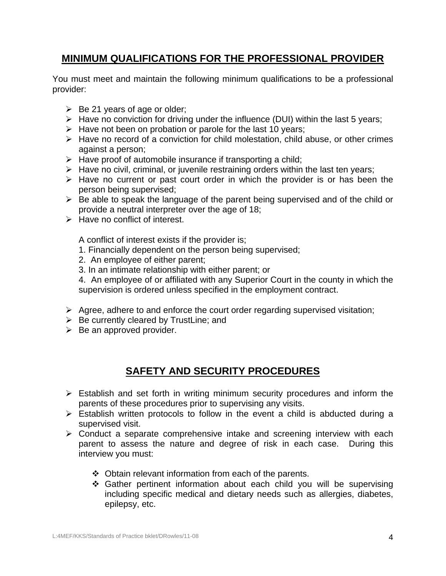# **MINIMUM QUALIFICATIONS FOR THE PROFESSIONAL PROVIDER**

You must meet and maintain the following minimum qualifications to be a professional provider:

- $\triangleright$  Be 21 years of age or older;
- $\triangleright$  Have no conviction for driving under the influence (DUI) within the last 5 years;
- $\triangleright$  Have not been on probation or parole for the last 10 years;
- $\triangleright$  Have no record of a conviction for child molestation, child abuse, or other crimes against a person;
- $\triangleright$  Have proof of automobile insurance if transporting a child;
- $\triangleright$  Have no civil, criminal, or juvenile restraining orders within the last ten years;
- $\triangleright$  Have no current or past court order in which the provider is or has been the person being supervised;
- $\triangleright$  Be able to speak the language of the parent being supervised and of the child or provide a neutral interpreter over the age of 18;
- $\triangleright$  Have no conflict of interest.

A conflict of interest exists if the provider is;

- 1. Financially dependent on the person being supervised;
- 2. An employee of either parent;
- 3. In an intimate relationship with either parent; or

4. An employee of or affiliated with any Superior Court in the county in which the supervision is ordered unless specified in the employment contract.

- $\triangleright$  Agree, adhere to and enforce the court order regarding supervised visitation;
- $\triangleright$  Be currently cleared by TrustLine; and
- $\triangleright$  Be an approved provider.

# **SAFETY AND SECURITY PROCEDURES**

- $\triangleright$  Establish and set forth in writing minimum security procedures and inform the parents of these procedures prior to supervising any visits.
- $\triangleright$  Establish written protocols to follow in the event a child is abducted during a supervised visit.
- $\triangleright$  Conduct a separate comprehensive intake and screening interview with each parent to assess the nature and degree of risk in each case. During this interview you must:
	- Obtain relevant information from each of the parents.
	- Gather pertinent information about each child you will be supervising including specific medical and dietary needs such as allergies, diabetes, epilepsy, etc.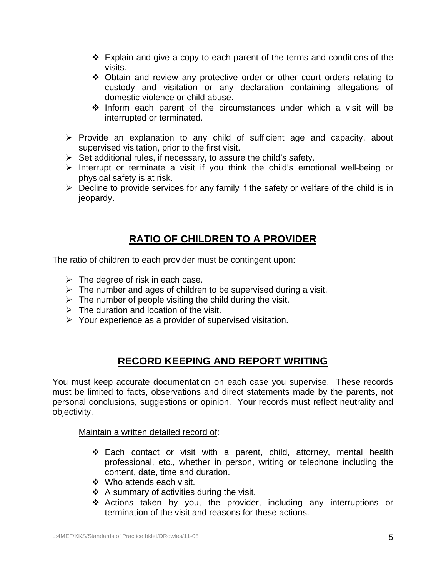- $\div$  Explain and give a copy to each parent of the terms and conditions of the visits.
- Obtain and review any protective order or other court orders relating to custody and visitation or any declaration containing allegations of domestic violence or child abuse.
- $\div$  Inform each parent of the circumstances under which a visit will be interrupted or terminated.
- $\triangleright$  Provide an explanation to any child of sufficient age and capacity, about supervised visitation, prior to the first visit.
- $\triangleright$  Set additional rules, if necessary, to assure the child's safety.
- $\triangleright$  Interrupt or terminate a visit if you think the child's emotional well-being or physical safety is at risk.
- $\triangleright$  Decline to provide services for any family if the safety or welfare of the child is in jeopardy.

# **RATIO OF CHILDREN TO A PROVIDER**

The ratio of children to each provider must be contingent upon:

- $\triangleright$  The degree of risk in each case.
- $\triangleright$  The number and ages of children to be supervised during a visit.
- $\triangleright$  The number of people visiting the child during the visit.
- $\triangleright$  The duration and location of the visit.
- $\triangleright$  Your experience as a provider of supervised visitation.

# **RECORD KEEPING AND REPORT WRITING**

You must keep accurate documentation on each case you supervise. These records must be limited to facts, observations and direct statements made by the parents, not personal conclusions, suggestions or opinion. Your records must reflect neutrality and objectivity.

Maintain a written detailed record of:

- Each contact or visit with a parent, child, attorney, mental health professional, etc., whether in person, writing or telephone including the content, date, time and duration.
- Who attends each visit.
- $\div$  A summary of activities during the visit.
- Actions taken by you, the provider, including any interruptions or termination of the visit and reasons for these actions.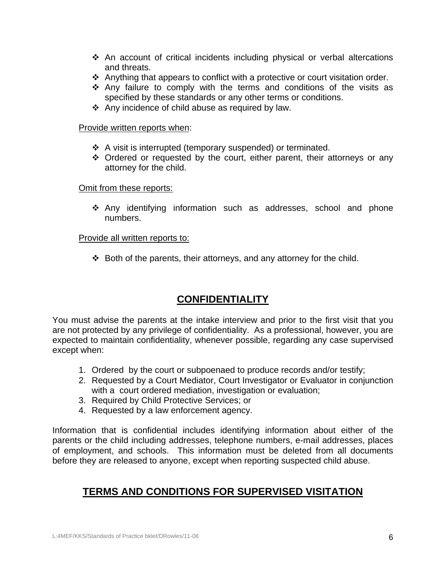- $\div$  An account of critical incidents including physical or verbal altercations and threats.
- $\cdot$  Anything that appears to conflict with a protective or court visitation order.
- $\cdot$  Any failure to comply with the terms and conditions of the visits as specified by these standards or any other terms or conditions.
- $\triangle$  Any incidence of child abuse as required by law.

#### Provide written reports when:

- A visit is interrupted (temporary suspended) or terminated.
- $\div$  Ordered or requested by the court, either parent, their attorneys or any attorney for the child.

#### Omit from these reports:

 Any identifying information such as addresses, school and phone numbers.

#### Provide all written reports to:

 $\div$  Both of the parents, their attorneys, and any attorney for the child.

# **CONFIDENTIALITY**

You must advise the parents at the intake interview and prior to the first visit that you are not protected by any privilege of confidentiality. As a professional, however, you are expected to maintain confidentiality, whenever possible, regarding any case supervised except when:

- 1. Ordered by the court or subpoenaed to produce records and/or testify;
- 2. Requested by a Court Mediator, Court Investigator or Evaluator in conjunction with a court ordered mediation, investigation or evaluation;
- 3. Required by Child Protective Services; or
- 4. Requested by a law enforcement agency.

Information that is confidential includes identifying information about either of the parents or the child including addresses, telephone numbers, e-mail addresses, places of employment, and schools. This information must be deleted from all documents before they are released to anyone, except when reporting suspected child abuse.

# **TERMS AND CONDITIONS FOR SUPERVISED VISITATION**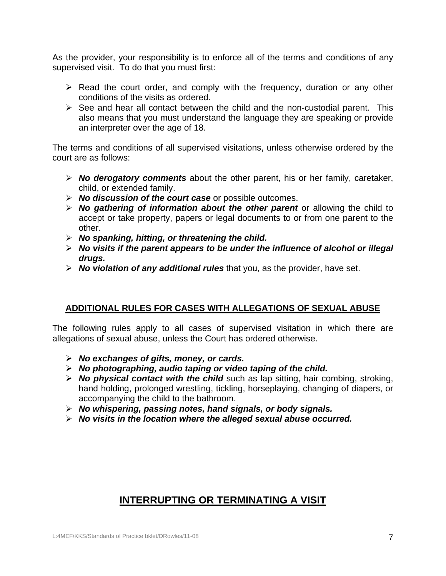As the provider, your responsibility is to enforce all of the terms and conditions of any supervised visit. To do that you must first:

- $\triangleright$  Read the court order, and comply with the frequency, duration or any other conditions of the visits as ordered.
- $\triangleright$  See and hear all contact between the child and the non-custodial parent. This also means that you must understand the language they are speaking or provide an interpreter over the age of 18.

The terms and conditions of all supervised visitations, unless otherwise ordered by the court are as follows:

- ¾ *No derogatory comments* about the other parent, his or her family, caretaker, child, or extended family.
- ¾ *No discussion of the court case* or possible outcomes.
- ¾ *No gathering of information about the other parent* or allowing the child to accept or take property, papers or legal documents to or from one parent to the other.
- ¾ *No spanking, hitting, or threatening the child.*
- ¾ *No visits if the parent appears to be under the influence of alcohol or illegal drugs.*
- ¾ *No violation of any additional rules* that you, as the provider, have set.

#### **ADDITIONAL RULES FOR CASES WITH ALLEGATIONS OF SEXUAL ABUSE**

The following rules apply to all cases of supervised visitation in which there are allegations of sexual abuse, unless the Court has ordered otherwise.

- ¾ *No exchanges of gifts, money, or cards.*
- ¾ *No photographing, audio taping or video taping of the child.*
- ¾ *No physical contact with the child* such as lap sitting, hair combing, stroking, hand holding, prolonged wrestling, tickling, horseplaying, changing of diapers, or accompanying the child to the bathroom.
- ¾ *No whispering, passing notes, hand signals, or body signals.*
- ¾ *No visits in the location where the alleged sexual abuse occurred.*

# **INTERRUPTING OR TERMINATING A VISIT**